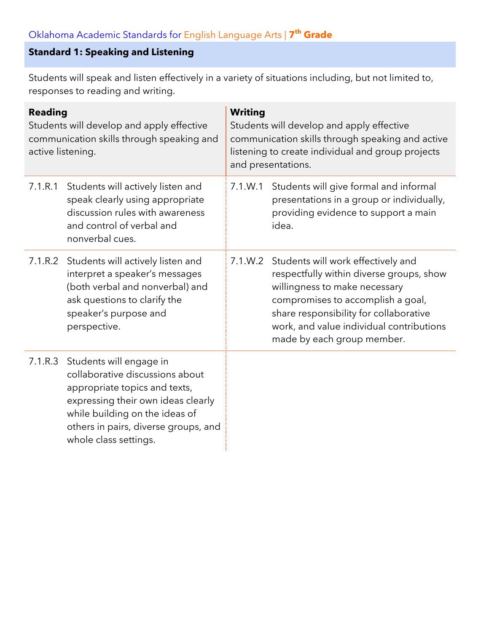# **Standard 1: Speaking and Listening**

Students will speak and listen effectively in a variety of situations including, but not limited to, responses to reading and writing.

| <b>Reading</b><br>Students will develop and apply effective<br>communication skills through speaking and<br>active listening. |                                                                                                                                                                                                                                      | <b>Writing</b><br>Students will develop and apply effective<br>communication skills through speaking and active<br>listening to create individual and group projects<br>and presentations. |                                                                                                                                                                                                                                                                                  |  |
|-------------------------------------------------------------------------------------------------------------------------------|--------------------------------------------------------------------------------------------------------------------------------------------------------------------------------------------------------------------------------------|--------------------------------------------------------------------------------------------------------------------------------------------------------------------------------------------|----------------------------------------------------------------------------------------------------------------------------------------------------------------------------------------------------------------------------------------------------------------------------------|--|
| 7.1.R.1                                                                                                                       | Students will actively listen and<br>speak clearly using appropriate<br>discussion rules with awareness<br>and control of verbal and<br>nonverbal cues.                                                                              | 7.1.W.1                                                                                                                                                                                    | Students will give formal and informal<br>presentations in a group or individually,<br>providing evidence to support a main<br>idea.                                                                                                                                             |  |
|                                                                                                                               | 7.1.R.2 Students will actively listen and<br>interpret a speaker's messages<br>(both verbal and nonverbal) and<br>ask questions to clarify the<br>speaker's purpose and<br>perspective.                                              |                                                                                                                                                                                            | 7.1.W.2 Students will work effectively and<br>respectfully within diverse groups, show<br>willingness to make necessary<br>compromises to accomplish a goal,<br>share responsibility for collaborative<br>work, and value individual contributions<br>made by each group member. |  |
| 7.1.R.3                                                                                                                       | Students will engage in<br>collaborative discussions about<br>appropriate topics and texts,<br>expressing their own ideas clearly<br>while building on the ideas of<br>others in pairs, diverse groups, and<br>whole class settings. |                                                                                                                                                                                            |                                                                                                                                                                                                                                                                                  |  |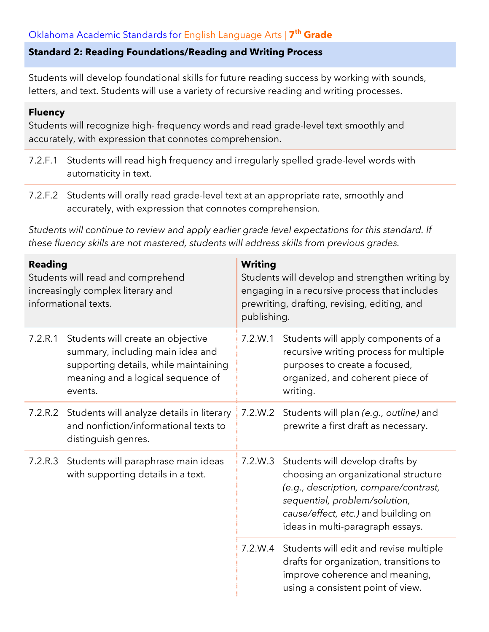### **Standard 2: Reading Foundations/Reading and Writing Process**

Students will develop foundational skills for future reading success by working with sounds, letters, and text. Students will use a variety of recursive reading and writing processes.

#### **Fluency**

Students will recognize high- frequency words and read grade-level text smoothly and accurately, with expression that connotes comprehension.

- 7.2.F.1 Students will read high frequency and irregularly spelled grade-level words with automaticity in text.
- 7.2.F.2 Students will orally read grade-level text at an appropriate rate, smoothly and accurately, with expression that connotes comprehension.

*Students will continue to review and apply earlier grade level expectations for this standard. If these fluency skills are not mastered, students will address skills from previous grades.*

| <b>Reading</b><br>Students will read and comprehend<br>increasingly complex literary and<br>informational texts. |                                                                                                                                                                | <b>Writing</b><br>Students will develop and strengthen writing by<br>engaging in a recursive process that includes<br>prewriting, drafting, revising, editing, and<br>publishing. |                                                                                                                                                                                                                              |
|------------------------------------------------------------------------------------------------------------------|----------------------------------------------------------------------------------------------------------------------------------------------------------------|-----------------------------------------------------------------------------------------------------------------------------------------------------------------------------------|------------------------------------------------------------------------------------------------------------------------------------------------------------------------------------------------------------------------------|
| 7.2.R.1                                                                                                          | Students will create an objective<br>summary, including main idea and<br>supporting details, while maintaining<br>meaning and a logical sequence of<br>events. | 7.2.W.1                                                                                                                                                                           | Students will apply components of a<br>recursive writing process for multiple<br>purposes to create a focused,<br>organized, and coherent piece of<br>writing.                                                               |
| 7.2.R.2                                                                                                          | Students will analyze details in literary<br>and nonfiction/informational texts to<br>distinguish genres.                                                      | 7.2.W.2                                                                                                                                                                           | Students will plan (e.g., outline) and<br>prewrite a first draft as necessary.                                                                                                                                               |
| Students will paraphrase main ideas<br>7.2.R.3<br>with supporting details in a text.                             |                                                                                                                                                                | 7.2.W.3                                                                                                                                                                           | Students will develop drafts by<br>choosing an organizational structure<br>(e.g., description, compare/contrast,<br>sequential, problem/solution,<br>cause/effect, etc.) and building on<br>ideas in multi-paragraph essays. |
|                                                                                                                  |                                                                                                                                                                |                                                                                                                                                                                   | 7.2.W.4 Students will edit and revise multiple<br>drafts for organization, transitions to<br>improve coherence and meaning,<br>using a consistent point of view.                                                             |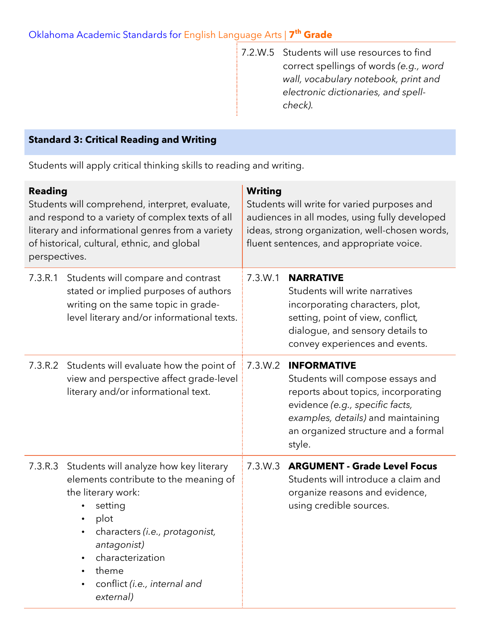7.2.W.5 Students will use resources to find correct spellings of words *(e.g., word wall, vocabulary notebook, print and electronic dictionaries, and spellcheck).*

### **Standard 3: Critical Reading and Writing**

Students will apply critical thinking skills to reading and writing.

| <b>Reading</b><br>Students will comprehend, interpret, evaluate,<br>and respond to a variety of complex texts of all<br>literary and informational genres from a variety<br>of historical, cultural, ethnic, and global<br>perspectives. |                                                                                                                                                                                                                                                                  | <b>Writing</b><br>Students will write for varied purposes and<br>audiences in all modes, using fully developed<br>ideas, strong organization, well-chosen words,<br>fluent sentences, and appropriate voice. |                                                                                                                                                                                                                         |
|------------------------------------------------------------------------------------------------------------------------------------------------------------------------------------------------------------------------------------------|------------------------------------------------------------------------------------------------------------------------------------------------------------------------------------------------------------------------------------------------------------------|--------------------------------------------------------------------------------------------------------------------------------------------------------------------------------------------------------------|-------------------------------------------------------------------------------------------------------------------------------------------------------------------------------------------------------------------------|
| 7.3.R.1                                                                                                                                                                                                                                  | Students will compare and contrast<br>stated or implied purposes of authors<br>writing on the same topic in grade-<br>level literary and/or informational texts.                                                                                                 | 7.3.W.1                                                                                                                                                                                                      | <b>NARRATIVE</b><br>Students will write narratives<br>incorporating characters, plot,<br>setting, point of view, conflict,<br>dialogue, and sensory details to<br>convey experiences and events.                        |
| 7.3.R.2                                                                                                                                                                                                                                  | Students will evaluate how the point of<br>view and perspective affect grade-level<br>literary and/or informational text.                                                                                                                                        | 7.3.W.2                                                                                                                                                                                                      | <b>INFORMATIVE</b><br>Students will compose essays and<br>reports about topics, incorporating<br>evidence (e.g., specific facts,<br>examples, details) and maintaining<br>an organized structure and a formal<br>style. |
| 7.3.R.3                                                                                                                                                                                                                                  | Students will analyze how key literary<br>elements contribute to the meaning of<br>the literary work:<br>setting<br>plot<br>$\bullet$<br>characters (i.e., protagonist,<br>antagonist)<br>characterization<br>theme<br>conflict (i.e., internal and<br>external) | 7.3.W.3                                                                                                                                                                                                      | <b>ARGUMENT - Grade Level Focus</b><br>Students will introduce a claim and<br>organize reasons and evidence,<br>using credible sources.                                                                                 |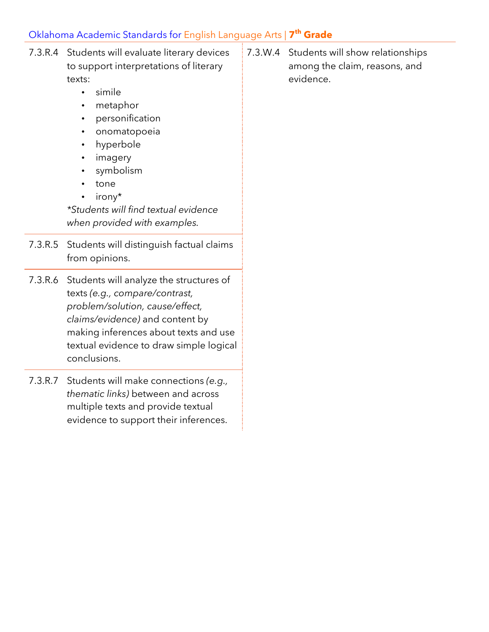| 7.3.R.4 Students will evaluate literary devices |  |
|-------------------------------------------------|--|
| to support interpretations of literary          |  |
| texts:                                          |  |

- simile
- metaphor
- personification
- onomatopoeia
- hyperbole
- imagery
- symbolism
- tone
- irony\*

*\*Students will find textual evidence when provided with examples.*

- 7.3.R.5 Students will distinguish factual claims from opinions.
- 7.3.R.6 Students will analyze the structures of texts *(e.g., compare/contrast, problem/solution, cause/effect, claims/evidence)* and content by making inferences about texts and use textual evidence to draw simple logical conclusions.
- 7.3.R.7 Students will make connections *(e.g., thematic links)* between and across multiple texts and provide textual evidence to support their inferences.

7.3.W.4 Students will show relationships among the claim, reasons, and evidence.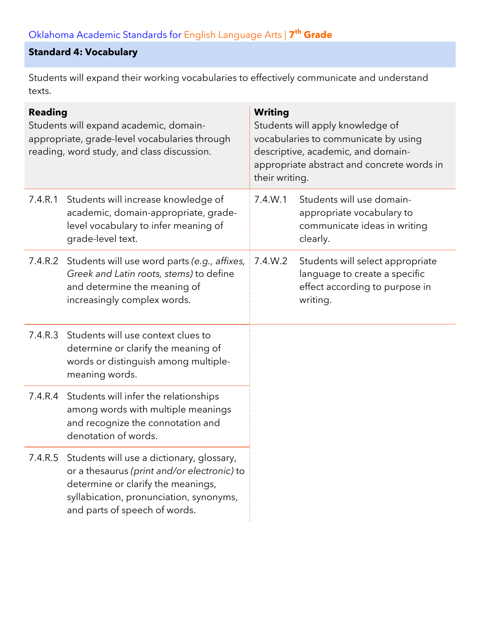## **Standard 4: Vocabulary**

Students will expand their working vocabularies to effectively communicate and understand texts.

| <b>Reading</b><br>Students will expand academic, domain-<br>appropriate, grade-level vocabularies through<br>reading, word study, and class discussion. |                                                                                                                                                                                                                    | <b>Writing</b><br>Students will apply knowledge of<br>vocabularies to communicate by using<br>descriptive, academic, and domain-<br>appropriate abstract and concrete words in<br>their writing. |                                                                                                                 |
|---------------------------------------------------------------------------------------------------------------------------------------------------------|--------------------------------------------------------------------------------------------------------------------------------------------------------------------------------------------------------------------|--------------------------------------------------------------------------------------------------------------------------------------------------------------------------------------------------|-----------------------------------------------------------------------------------------------------------------|
| 7.4.R.1                                                                                                                                                 | Students will increase knowledge of<br>academic, domain-appropriate, grade-<br>level vocabulary to infer meaning of<br>grade-level text.                                                                           | 7.4.W.1                                                                                                                                                                                          | Students will use domain-<br>appropriate vocabulary to<br>communicate ideas in writing<br>clearly.              |
| 7.4.R.2                                                                                                                                                 | Students will use word parts (e.g., affixes,<br>Greek and Latin roots, stems) to define<br>and determine the meaning of<br>increasingly complex words.                                                             | 7.4.W.2                                                                                                                                                                                          | Students will select appropriate<br>language to create a specific<br>effect according to purpose in<br>writing. |
| 7.4.R.3                                                                                                                                                 | Students will use context clues to<br>determine or clarify the meaning of<br>words or distinguish among multiple-<br>meaning words.                                                                                |                                                                                                                                                                                                  |                                                                                                                 |
|                                                                                                                                                         | 7.4.R.4 Students will infer the relationships<br>among words with multiple meanings<br>and recognize the connotation and<br>denotation of words.                                                                   |                                                                                                                                                                                                  |                                                                                                                 |
|                                                                                                                                                         | 7.4.R.5 Students will use a dictionary, glossary,<br>or a thesaurus (print and/or electronic) to<br>determine or clarify the meanings,<br>syllabication, pronunciation, synonyms,<br>and parts of speech of words. |                                                                                                                                                                                                  |                                                                                                                 |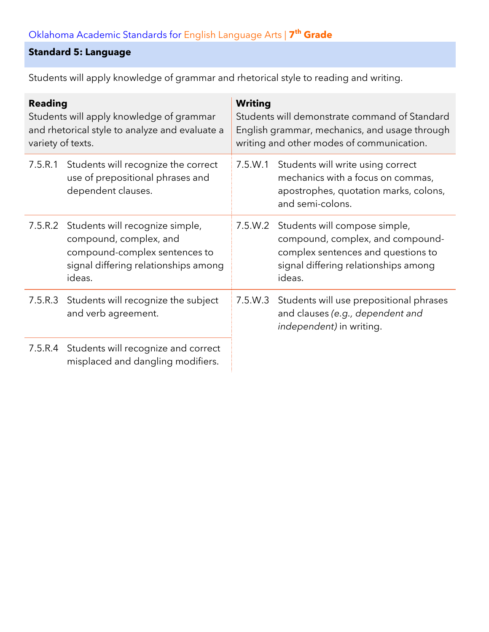## **Standard 5: Language**

Students will apply knowledge of grammar and rhetorical style to reading and writing.

| <b>Reading</b><br>Students will apply knowledge of grammar<br>and rhetorical style to analyze and evaluate a<br>variety of texts. |                                                                                                                                              | <b>Writing</b><br>Students will demonstrate command of Standard<br>English grammar, mechanics, and usage through<br>writing and other modes of communication. |                                                                                                                                                           |
|-----------------------------------------------------------------------------------------------------------------------------------|----------------------------------------------------------------------------------------------------------------------------------------------|---------------------------------------------------------------------------------------------------------------------------------------------------------------|-----------------------------------------------------------------------------------------------------------------------------------------------------------|
| 7.5.R.1                                                                                                                           | Students will recognize the correct<br>use of prepositional phrases and<br>dependent clauses.                                                | 7.5.W.1                                                                                                                                                       | Students will write using correct<br>mechanics with a focus on commas,<br>apostrophes, quotation marks, colons,<br>and semi-colons.                       |
| 7.5.R.2                                                                                                                           | Students will recognize simple,<br>compound, complex, and<br>compound-complex sentences to<br>signal differing relationships among<br>ideas. | 7.5.W.2                                                                                                                                                       | Students will compose simple,<br>compound, complex, and compound-<br>complex sentences and questions to<br>signal differing relationships among<br>ideas. |
|                                                                                                                                   | 7.5.R.3 Students will recognize the subject<br>and verb agreement.                                                                           | 7.5.W.3                                                                                                                                                       | Students will use prepositional phrases<br>and clauses (e.g., dependent and<br>independent) in writing.                                                   |
|                                                                                                                                   | 7.5.R.4 Students will recognize and correct<br>misplaced and dangling modifiers.                                                             |                                                                                                                                                               |                                                                                                                                                           |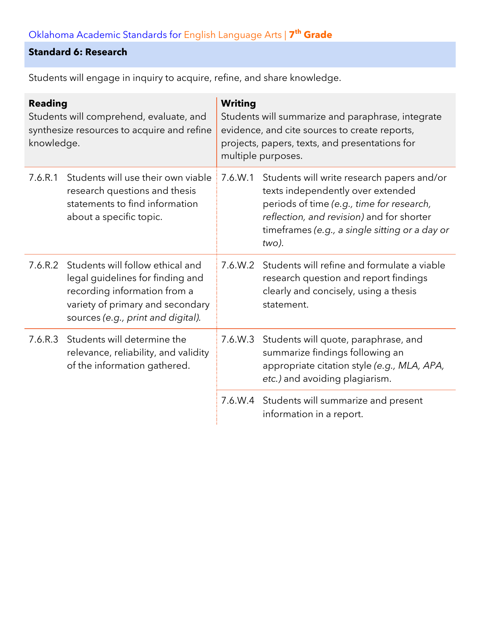## **Standard 6: Research**

| <b>Reading</b><br>Students will comprehend, evaluate, and<br>synthesize resources to acquire and refine<br>knowledge. |                                                                                                                                                                                | <b>Writing</b><br>Students will summarize and paraphrase, integrate<br>evidence, and cite sources to create reports,<br>projects, papers, texts, and presentations for<br>multiple purposes. |                                                                                                                                                                                                                                      |  |
|-----------------------------------------------------------------------------------------------------------------------|--------------------------------------------------------------------------------------------------------------------------------------------------------------------------------|----------------------------------------------------------------------------------------------------------------------------------------------------------------------------------------------|--------------------------------------------------------------------------------------------------------------------------------------------------------------------------------------------------------------------------------------|--|
| 7.6.R.1                                                                                                               | Students will use their own viable<br>research questions and thesis<br>statements to find information<br>about a specific topic.                                               | 7.6.W.1                                                                                                                                                                                      | Students will write research papers and/or<br>texts independently over extended<br>periods of time (e.g., time for research,<br>reflection, and revision) and for shorter<br>timeframes (e.g., a single sitting or a day or<br>two). |  |
| 7.6.R.2                                                                                                               | Students will follow ethical and<br>legal guidelines for finding and<br>recording information from a<br>variety of primary and secondary<br>sources (e.g., print and digital). | 7.6.W.2                                                                                                                                                                                      | Students will refine and formulate a viable<br>research question and report findings<br>clearly and concisely, using a thesis<br>statement.                                                                                          |  |
| 7.6.R.3                                                                                                               | Students will determine the<br>relevance, reliability, and validity<br>of the information gathered.                                                                            | 7.6.W.3                                                                                                                                                                                      | Students will quote, paraphrase, and<br>summarize findings following an<br>appropriate citation style (e.g., MLA, APA,<br>etc.) and avoiding plagiarism.                                                                             |  |
|                                                                                                                       |                                                                                                                                                                                |                                                                                                                                                                                              | 7.6.W.4 Students will summarize and present<br>information in a report.                                                                                                                                                              |  |

Students will engage in inquiry to acquire, refine, and share knowledge.